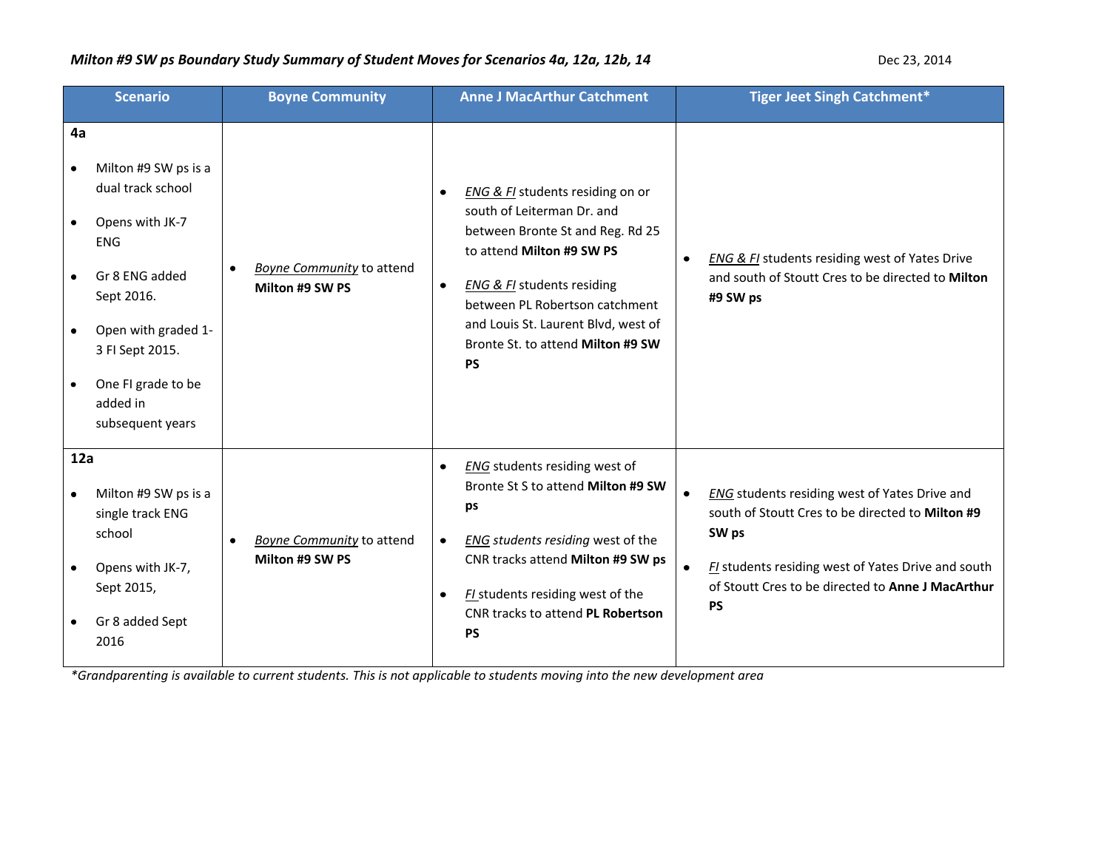| <b>Scenario</b>                                                                                                                                                                                                                                 | <b>Boyne Community</b>                                           | <b>Anne J MacArthur Catchment</b>                                                                                                                                                                                                                                                                                                | <b>Tiger Jeet Singh Catchment*</b>                                                                                                                                                                                                              |
|-------------------------------------------------------------------------------------------------------------------------------------------------------------------------------------------------------------------------------------------------|------------------------------------------------------------------|----------------------------------------------------------------------------------------------------------------------------------------------------------------------------------------------------------------------------------------------------------------------------------------------------------------------------------|-------------------------------------------------------------------------------------------------------------------------------------------------------------------------------------------------------------------------------------------------|
| 4a<br>Milton #9 SW ps is a<br>٠<br>dual track school<br>Opens with JK-7<br>$\bullet$<br><b>ENG</b><br>Gr 8 ENG added<br>$\bullet$<br>Sept 2016.<br>Open with graded 1-<br>3 FI Sept 2015.<br>One FI grade to be<br>added in<br>subsequent years | <b>Boyne Community</b> to attend<br>$\bullet$<br>Milton #9 SW PS | <b>ENG &amp; FI</b> students residing on or<br>٠<br>south of Leiterman Dr. and<br>between Bronte St and Reg. Rd 25<br>to attend Milton #9 SW PS<br><b>ENG &amp; FI</b> students residing<br>$\bullet$<br>between PL Robertson catchment<br>and Louis St. Laurent Blvd, west of<br>Bronte St. to attend Milton #9 SW<br><b>PS</b> | <b>ENG &amp; FI</b> students residing west of Yates Drive<br>$\bullet$<br>and south of Stoutt Cres to be directed to Milton<br>#9 SW ps                                                                                                         |
| 12a<br>Milton #9 SW ps is a<br>$\bullet$<br>single track ENG<br>school<br>Opens with JK-7,<br>$\bullet$<br>Sept 2015,<br>Gr 8 added Sept<br>2016                                                                                                | <b>Boyne Community to attend</b><br>$\bullet$<br>Milton #9 SW PS | <b>ENG</b> students residing west of<br>$\bullet$<br>Bronte St S to attend Milton #9 SW<br>ps<br>ENG students residing west of the<br>$\bullet$<br>CNR tracks attend Milton #9 SW ps<br>FI students residing west of the<br>CNR tracks to attend PL Robertson<br><b>PS</b>                                                       | ENG students residing west of Yates Drive and<br>south of Stoutt Cres to be directed to Milton #9<br>SW ps<br>FI students residing west of Yates Drive and south<br>$\bullet$<br>of Stoutt Cres to be directed to Anne J MacArthur<br><b>PS</b> |

*\*Grandparenting is available to current students. This is not applicable to students moving into the new development area*